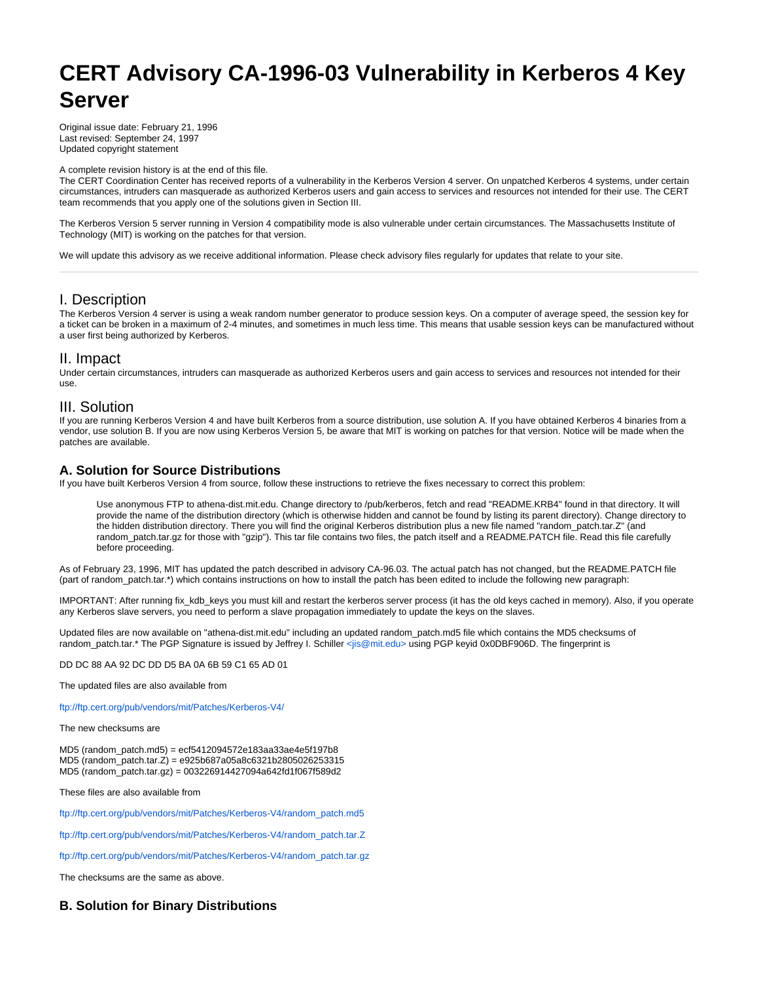# **CERT Advisory CA-1996-03 Vulnerability in Kerberos 4 Key Server**

Original issue date: February 21, 1996 Last revised: September 24, 1997 Updated copyright statement

A complete revision history is at the end of this file.

The CERT Coordination Center has received reports of a vulnerability in the Kerberos Version 4 server. On unpatched Kerberos 4 systems, under certain circumstances, intruders can masquerade as authorized Kerberos users and gain access to services and resources not intended for their use. The CERT team recommends that you apply one of the solutions given in Section III.

The Kerberos Version 5 server running in Version 4 compatibility mode is also vulnerable under certain circumstances. The Massachusetts Institute of Technology (MIT) is working on the patches for that version.

We will update this advisory as we receive additional information. Please check advisory files regularly for updates that relate to your site.

# I. Description

The Kerberos Version 4 server is using a weak random number generator to produce session keys. On a computer of average speed, the session key for a ticket can be broken in a maximum of 2-4 minutes, and sometimes in much less time. This means that usable session keys can be manufactured without a user first being authorized by Kerberos.

# II. Impact

Under certain circumstances, intruders can masquerade as authorized Kerberos users and gain access to services and resources not intended for their use.

## III. Solution

If you are running Kerberos Version 4 and have built Kerberos from a source distribution, use solution A. If you have obtained Kerberos 4 binaries from a vendor, use solution B. If you are now using Kerberos Version 5, be aware that MIT is working on patches for that version. Notice will be made when the patches are available.

## **A. Solution for Source Distributions**

If you have built Kerberos Version 4 from source, follow these instructions to retrieve the fixes necessary to correct this problem:

Use anonymous FTP to athena-dist.mit.edu. Change directory to /pub/kerberos, fetch and read "README.KRB4" found in that directory. It will provide the name of the distribution directory (which is otherwise hidden and cannot be found by listing its parent directory). Change directory to the hidden distribution directory. There you will find the original Kerberos distribution plus a new file named "random\_patch.tar.Z" (and random\_patch.tar.gz for those with "gzip"). This tar file contains two files, the patch itself and a README.PATCH file. Read this file carefully before proceeding.

As of February 23, 1996, MIT has updated the patch described in advisory CA-96.03. The actual patch has not changed, but the README.PATCH file (part of random\_patch.tar.\*) which contains instructions on how to install the patch has been edited to include the following new paragraph:

IMPORTANT: After running fix\_kdb\_keys you must kill and restart the kerberos server process (it has the old keys cached in memory). Also, if you operate any Kerberos slave servers, you need to perform a slave propagation immediately to update the keys on the slaves.

Updated files are now available on "athena-dist.mit.edu" including an updated random\_patch.md5 file which contains the MD5 checksums of random\_patch.tar.\* The PGP Signature is issued by Jeffrey I. Schiller [<jis@mit.edu>](mailto:jis@mit.edu) using PGP keyid 0x0DBF906D. The fingerprint is

DD DC 88 AA 92 DC DD D5 BA 0A 6B 59 C1 65 AD 01

The updated files are also available from

<ftp://ftp.cert.org/pub/vendors/mit/Patches/Kerberos-V4/>

The new checksums are

MD5 (random\_patch.md5) = ecf5412094572e183aa33ae4e5f197b8 MD5 (random\_patch.tar.Z) = e925b687a05a8c6321b2805026253315 MD5 (random\_patch.tar.gz) = 003226914427094a642fd1f067f589d2

These files are also available from

[ftp://ftp.cert.org/pub/vendors/mit/Patches/Kerberos-V4/random\\_patch.md5](ftp://ftp.cert.org/pub/vendors/mit/Patches/Kerberos-V4/random_patch.md5)

[ftp://ftp.cert.org/pub/vendors/mit/Patches/Kerberos-V4/random\\_patch.tar.Z](ftp://ftp.cert.org/pub/vendors/mit/Patches/Kerberos-V4/random_patch.tar.Z)

[ftp://ftp.cert.org/pub/vendors/mit/Patches/Kerberos-V4/random\\_patch.tar.gz](ftp://ftp.cert.org/pub/vendors/mit/Patches/Kerberos-V4/random_patch.tar.gz)

The checksums are the same as above.

# **B. Solution for Binary Distributions**